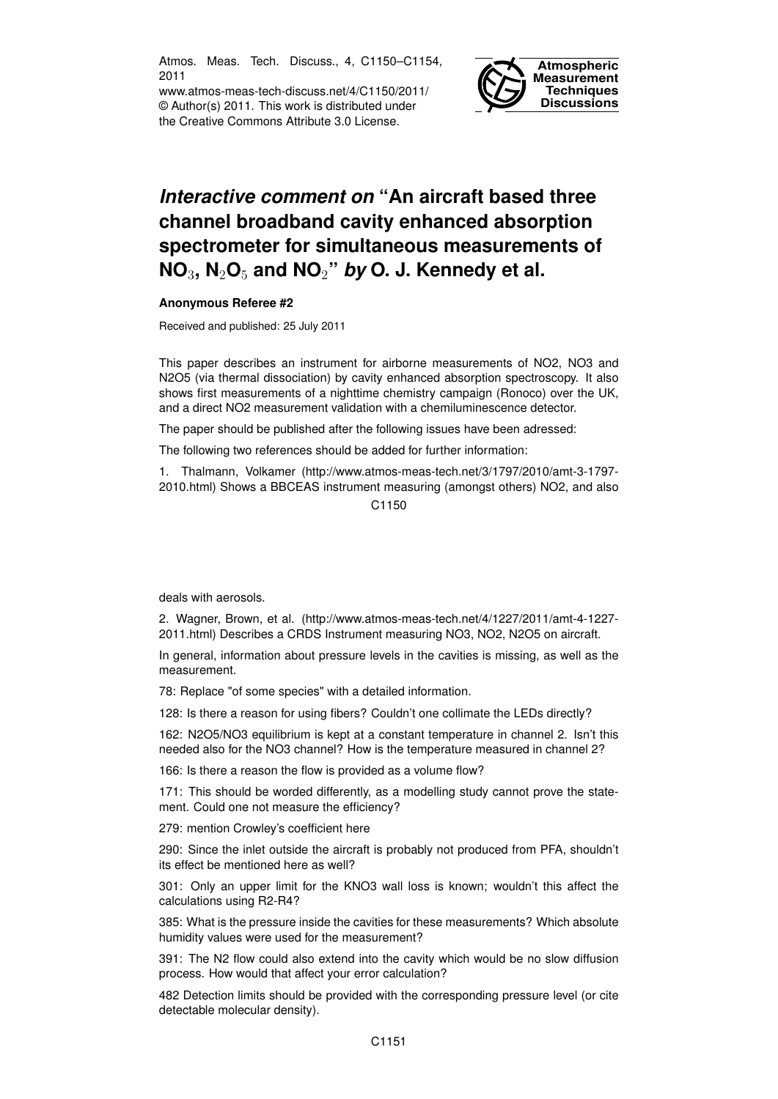Atmos. Meas. Tech. Discuss., 4, C1150–C1154, 2011

www.atmos-meas-tech-discuss.net/4/C1150/2011/ © Author(s) 2011. This work is distributed under the Creative Commons Attribute 3.0 License.



## *Interactive comment on* **"An aircraft based three channel broadband cavity enhanced absorption spectrometer for simultaneous measurements of NO**3**, N**2**O**<sup>5</sup> **and NO**2**"** *by* **O. J. Kennedy et al.**

## **Anonymous Referee #2**

Received and published: 25 July 2011

This paper describes an instrument for airborne measurements of NO2, NO3 and N2O5 (via thermal dissociation) by cavity enhanced absorption spectroscopy. It also shows first measurements of a nighttime chemistry campaign (Ronoco) over the UK, and a direct NO2 measurement validation with a chemiluminescence detector.

The paper should be published after the following issues have been adressed:

The following two references should be added for further information:

1. Thalmann, Volkamer (http://www.atmos-meas-tech.net/3/1797/2010/amt-3-1797- 2010.html) Shows a BBCEAS instrument measuring (amongst others) NO2, and also

C1150

deals with aerosols.

2. Wagner, Brown, et al. (http://www.atmos-meas-tech.net/4/1227/2011/amt-4-1227- 2011.html) Describes a CRDS Instrument measuring NO3, NO2, N2O5 on aircraft.

In general, information about pressure levels in the cavities is missing, as well as the measurement.

78: Replace "of some species" with a detailed information.

128: Is there a reason for using fibers? Couldn't one collimate the LEDs directly?

162: N2O5/NO3 equilibrium is kept at a constant temperature in channel 2. Isn't this needed also for the NO3 channel? How is the temperature measured in channel 2?

166: Is there a reason the flow is provided as a volume flow?

171: This should be worded differently, as a modelling study cannot prove the statement. Could one not measure the efficiency?

279: mention Crowley's coefficient here

290: Since the inlet outside the aircraft is probably not produced from PFA, shouldn't its effect be mentioned here as well?

301: Only an upper limit for the KNO3 wall loss is known; wouldn't this affect the calculations using R2-R4?

385: What is the pressure inside the cavities for these measurements? Which absolute humidity values were used for the measurement?

391: The N2 flow could also extend into the cavity which would be no slow diffusion process. How would that affect your error calculation?

482 Detection limits should be provided with the corresponding pressure level (or cite detectable molecular density).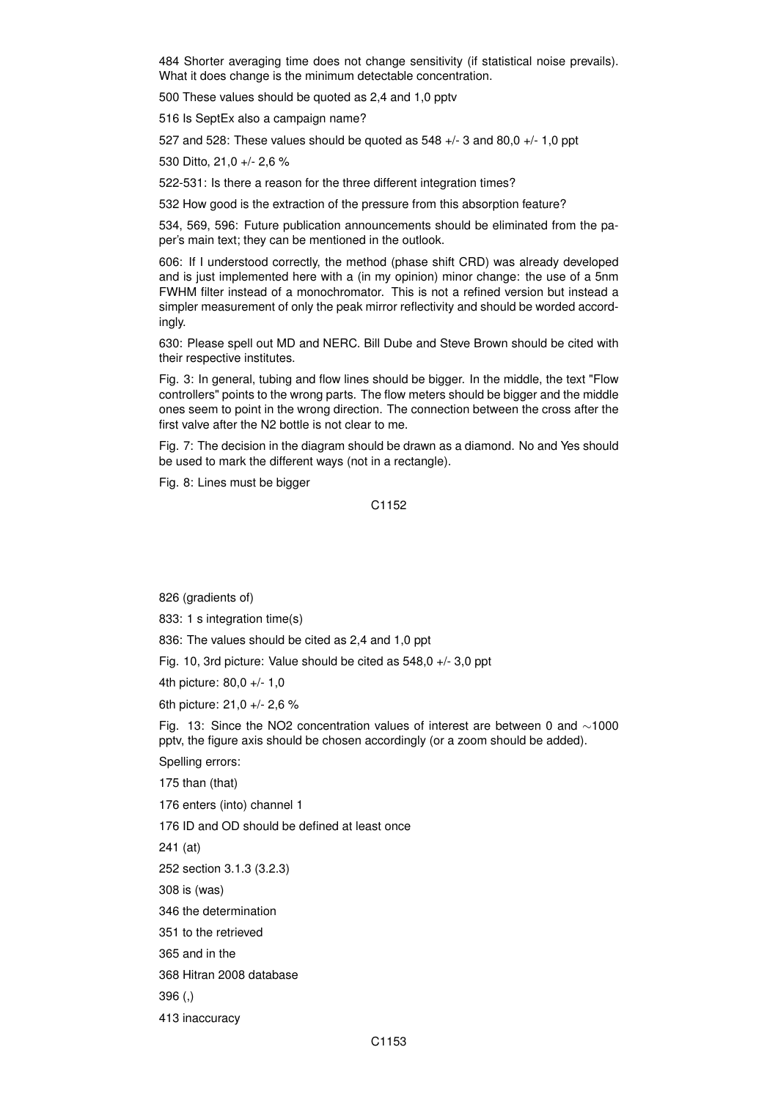484 Shorter averaging time does not change sensitivity (if statistical noise prevails). What it does change is the minimum detectable concentration.

500 These values should be quoted as 2,4 and 1,0 pptv

516 Is SeptEx also a campaign name?

527 and 528: These values should be quoted as 548 +/- 3 and 80,0 +/- 1,0 ppt

530 Ditto, 21,0 +/- 2,6 %

522-531: Is there a reason for the three different integration times?

532 How good is the extraction of the pressure from this absorption feature?

534, 569, 596: Future publication announcements should be eliminated from the paper's main text; they can be mentioned in the outlook.

606: If I understood correctly, the method (phase shift CRD) was already developed and is just implemented here with a (in my opinion) minor change: the use of a 5nm FWHM filter instead of a monochromator. This is not a refined version but instead a simpler measurement of only the peak mirror reflectivity and should be worded accordingly.

630: Please spell out MD and NERC. Bill Dube and Steve Brown should be cited with their respective institutes.

Fig. 3: In general, tubing and flow lines should be bigger. In the middle, the text "Flow controllers" points to the wrong parts. The flow meters should be bigger and the middle ones seem to point in the wrong direction. The connection between the cross after the first valve after the N2 bottle is not clear to me.

Fig. 7: The decision in the diagram should be drawn as a diamond. No and Yes should be used to mark the different ways (not in a rectangle).

Fig. 8: Lines must be bigger

C1152

826 (gradients of)

833: 1 s integration time(s)

836: The values should be cited as 2,4 and 1,0 ppt

Fig. 10, 3rd picture: Value should be cited as 548,0 +/- 3,0 ppt

4th picture: 80,0 +/- 1,0

6th picture: 21,0 +/- 2,6 %

Fig. 13: Since the NO2 concentration values of interest are between 0 and ∼1000 pptv, the figure axis should be chosen accordingly (or a zoom should be added).

Spelling errors:

175 than (that)

176 enters (into) channel 1

176 ID and OD should be defined at least once

241 (at)

252 section 3.1.3 (3.2.3)

308 is (was)

346 the determination

351 to the retrieved

365 and in the

368 Hitran 2008 database

396 (,)

413 inaccuracy